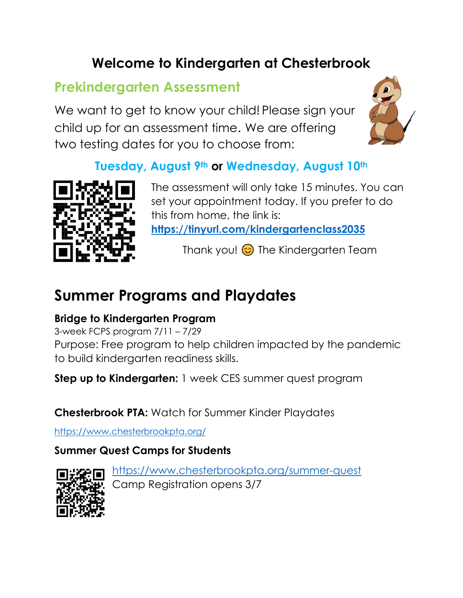## **Welcome to Kindergarten at Chesterbrook**

## **Prekindergarten Assessment**

We want to get to know your child! Please sign your child up for an assessment time. We are offering two testing dates for you to choose from:



#### **Tuesday, August 9th or Wednesday, August 10th**



The assessment will only take 15 minutes. You can set your appointment today. If you prefer to do this from home, the link is: **<https://tinyurl.com/kindergartenclass2035>**

Thank you!  $\odot$  The Kindergarten Team

## **Summer Programs and Playdates**

#### **Bridge to Kindergarten Program**

3-week FCPS program 7/11 – 7/29 Purpose: Free program to help children impacted by the pandemic to build kindergarten readiness skills.

**Step up to Kindergarten:** 1 week CES summer quest program

**Chesterbrook PTA:** Watch for Summer Kinder Playdates

<https://www.chesterbrookpta.org/>

#### **Summer Quest Camps for Students**



<https://www.chesterbrookpta.org/summer-quest> Camp Registration opens 3/7